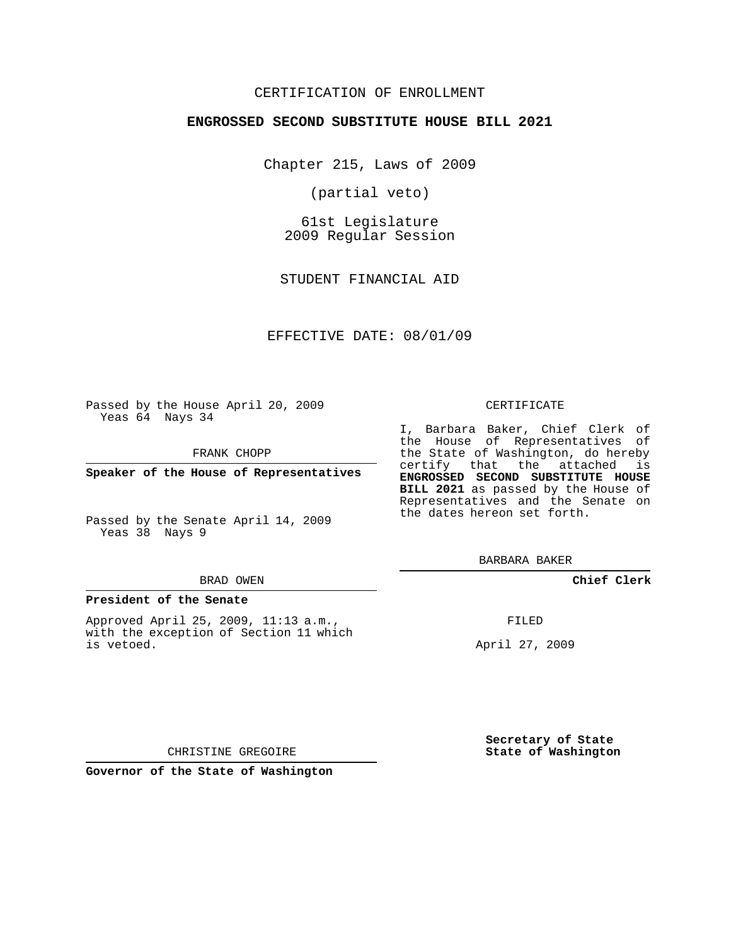# CERTIFICATION OF ENROLLMENT

## **ENGROSSED SECOND SUBSTITUTE HOUSE BILL 2021**

Chapter 215, Laws of 2009

(partial veto)

61st Legislature 2009 Regular Session

STUDENT FINANCIAL AID

EFFECTIVE DATE: 08/01/09

Passed by the House April 20, 2009 Yeas 64 Nays 34

FRANK CHOPP

**Speaker of the House of Representatives**

Passed by the Senate April 14, 2009 Yeas 38 Nays 9

#### BRAD OWEN

### **President of the Senate**

Approved April 25, 2009, 11:13 a.m., with the exception of Section 11 which is vetoed.

#### CERTIFICATE

I, Barbara Baker, Chief Clerk of the House of Representatives of the State of Washington, do hereby certify that the attached is **ENGROSSED SECOND SUBSTITUTE HOUSE BILL 2021** as passed by the House of Representatives and the Senate on the dates hereon set forth.

BARBARA BAKER

**Chief Clerk**

FILED

April 27, 2009

**Secretary of State State of Washington**

CHRISTINE GREGOIRE

**Governor of the State of Washington**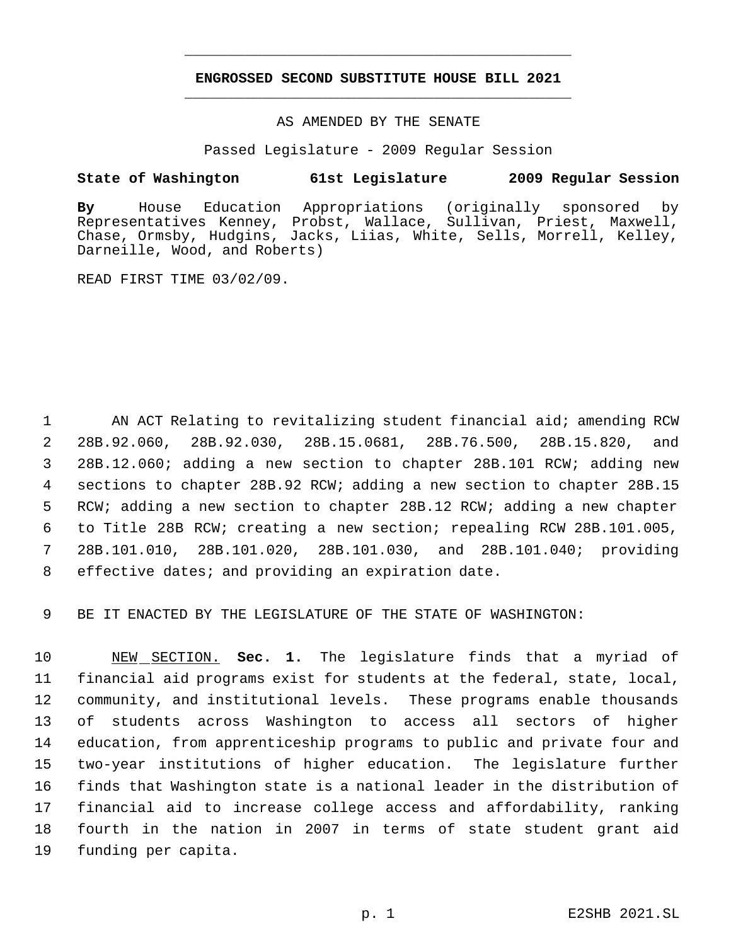# **ENGROSSED SECOND SUBSTITUTE HOUSE BILL 2021** \_\_\_\_\_\_\_\_\_\_\_\_\_\_\_\_\_\_\_\_\_\_\_\_\_\_\_\_\_\_\_\_\_\_\_\_\_\_\_\_\_\_\_\_\_

\_\_\_\_\_\_\_\_\_\_\_\_\_\_\_\_\_\_\_\_\_\_\_\_\_\_\_\_\_\_\_\_\_\_\_\_\_\_\_\_\_\_\_\_\_

# AS AMENDED BY THE SENATE

Passed Legislature - 2009 Regular Session

# **State of Washington 61st Legislature 2009 Regular Session**

**By** House Education Appropriations (originally sponsored by Representatives Kenney, Probst, Wallace, Sullivan, Priest, Maxwell, Chase, Ormsby, Hudgins, Jacks, Liias, White, Sells, Morrell, Kelley, Darneille, Wood, and Roberts)

READ FIRST TIME 03/02/09.

 AN ACT Relating to revitalizing student financial aid; amending RCW 28B.92.060, 28B.92.030, 28B.15.0681, 28B.76.500, 28B.15.820, and 28B.12.060; adding a new section to chapter 28B.101 RCW; adding new sections to chapter 28B.92 RCW; adding a new section to chapter 28B.15 RCW; adding a new section to chapter 28B.12 RCW; adding a new chapter to Title 28B RCW; creating a new section; repealing RCW 28B.101.005, 28B.101.010, 28B.101.020, 28B.101.030, and 28B.101.040; providing effective dates; and providing an expiration date.

BE IT ENACTED BY THE LEGISLATURE OF THE STATE OF WASHINGTON:

 NEW SECTION. **Sec. 1.** The legislature finds that a myriad of financial aid programs exist for students at the federal, state, local, community, and institutional levels. These programs enable thousands of students across Washington to access all sectors of higher education, from apprenticeship programs to public and private four and two-year institutions of higher education. The legislature further finds that Washington state is a national leader in the distribution of financial aid to increase college access and affordability, ranking fourth in the nation in 2007 in terms of state student grant aid funding per capita.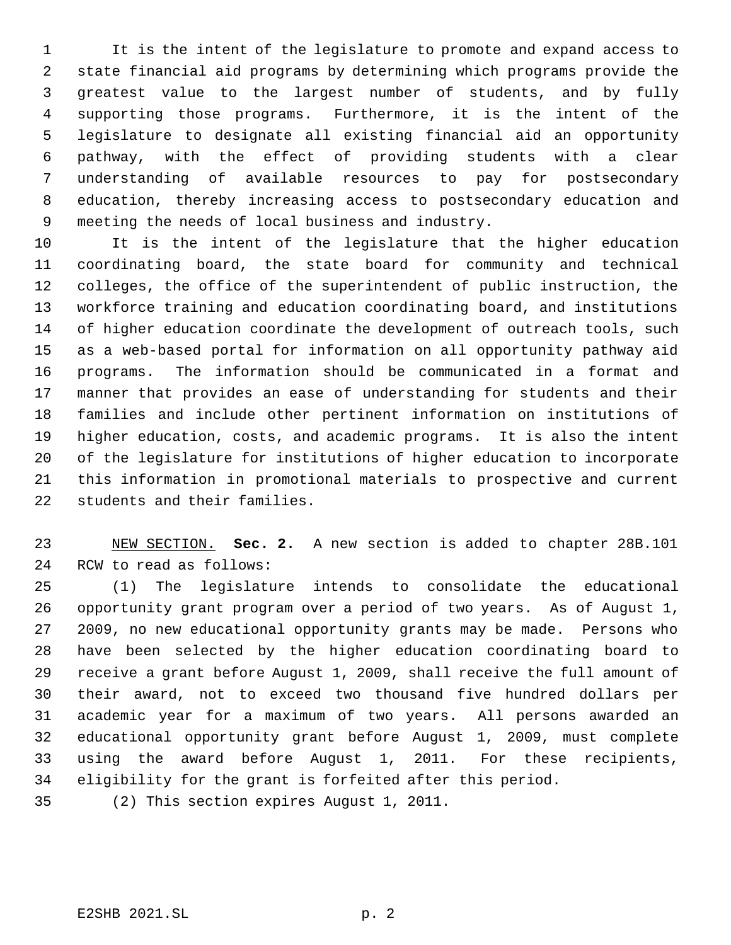It is the intent of the legislature to promote and expand access to state financial aid programs by determining which programs provide the greatest value to the largest number of students, and by fully supporting those programs. Furthermore, it is the intent of the legislature to designate all existing financial aid an opportunity pathway, with the effect of providing students with a clear understanding of available resources to pay for postsecondary education, thereby increasing access to postsecondary education and meeting the needs of local business and industry.

 It is the intent of the legislature that the higher education coordinating board, the state board for community and technical colleges, the office of the superintendent of public instruction, the workforce training and education coordinating board, and institutions of higher education coordinate the development of outreach tools, such as a web-based portal for information on all opportunity pathway aid programs. The information should be communicated in a format and manner that provides an ease of understanding for students and their families and include other pertinent information on institutions of higher education, costs, and academic programs. It is also the intent of the legislature for institutions of higher education to incorporate this information in promotional materials to prospective and current students and their families.

 NEW SECTION. **Sec. 2.** A new section is added to chapter 28B.101 RCW to read as follows:

 (1) The legislature intends to consolidate the educational opportunity grant program over a period of two years. As of August 1, 2009, no new educational opportunity grants may be made. Persons who have been selected by the higher education coordinating board to receive a grant before August 1, 2009, shall receive the full amount of their award, not to exceed two thousand five hundred dollars per academic year for a maximum of two years. All persons awarded an educational opportunity grant before August 1, 2009, must complete using the award before August 1, 2011. For these recipients, eligibility for the grant is forfeited after this period.

(2) This section expires August 1, 2011.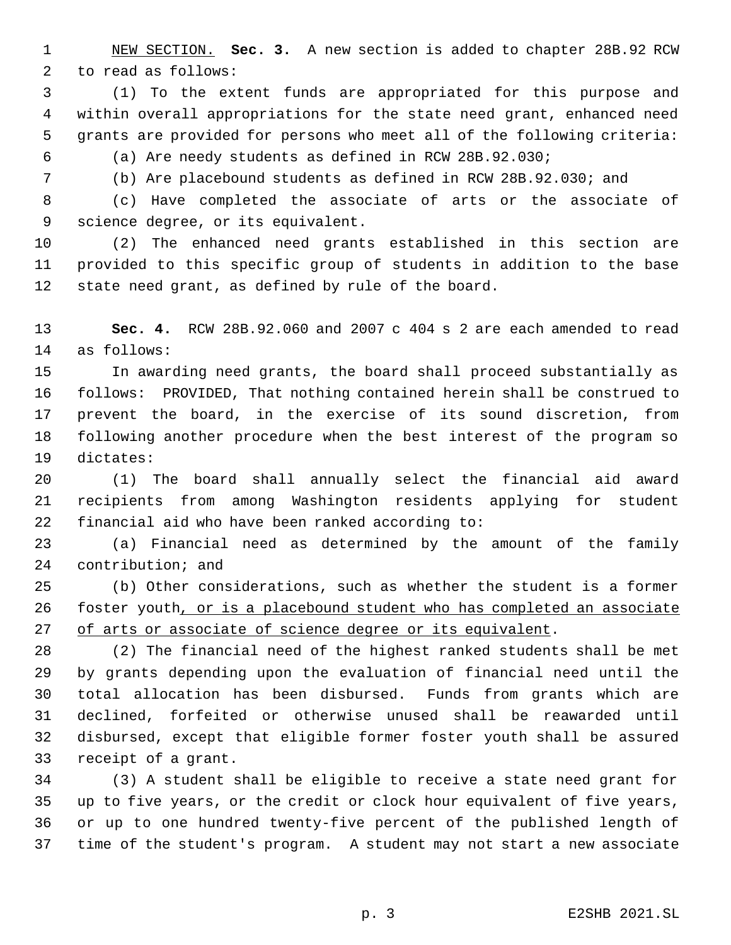NEW SECTION. **Sec. 3.** A new section is added to chapter 28B.92 RCW to read as follows:

 (1) To the extent funds are appropriated for this purpose and within overall appropriations for the state need grant, enhanced need grants are provided for persons who meet all of the following criteria: (a) Are needy students as defined in RCW 28B.92.030;

(b) Are placebound students as defined in RCW 28B.92.030; and

 (c) Have completed the associate of arts or the associate of science degree, or its equivalent.

 (2) The enhanced need grants established in this section are provided to this specific group of students in addition to the base state need grant, as defined by rule of the board.

 **Sec. 4.** RCW 28B.92.060 and 2007 c 404 s 2 are each amended to read as follows:

 In awarding need grants, the board shall proceed substantially as follows: PROVIDED, That nothing contained herein shall be construed to prevent the board, in the exercise of its sound discretion, from following another procedure when the best interest of the program so dictates:

 (1) The board shall annually select the financial aid award recipients from among Washington residents applying for student financial aid who have been ranked according to:

 (a) Financial need as determined by the amount of the family contribution; and

 (b) Other considerations, such as whether the student is a former foster youth, or is a placebound student who has completed an associate 27 of arts or associate of science degree or its equivalent.

 (2) The financial need of the highest ranked students shall be met by grants depending upon the evaluation of financial need until the total allocation has been disbursed. Funds from grants which are declined, forfeited or otherwise unused shall be reawarded until disbursed, except that eligible former foster youth shall be assured receipt of a grant.

 (3) A student shall be eligible to receive a state need grant for up to five years, or the credit or clock hour equivalent of five years, or up to one hundred twenty-five percent of the published length of time of the student's program. A student may not start a new associate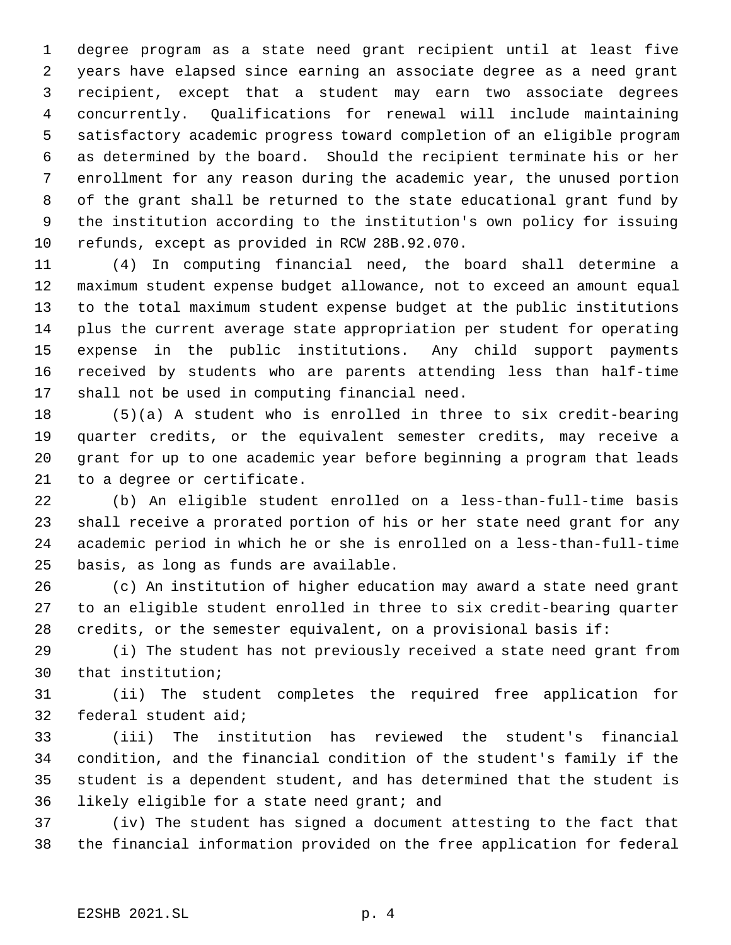degree program as a state need grant recipient until at least five years have elapsed since earning an associate degree as a need grant recipient, except that a student may earn two associate degrees concurrently. Qualifications for renewal will include maintaining satisfactory academic progress toward completion of an eligible program as determined by the board. Should the recipient terminate his or her enrollment for any reason during the academic year, the unused portion of the grant shall be returned to the state educational grant fund by the institution according to the institution's own policy for issuing refunds, except as provided in RCW 28B.92.070.

 (4) In computing financial need, the board shall determine a maximum student expense budget allowance, not to exceed an amount equal to the total maximum student expense budget at the public institutions plus the current average state appropriation per student for operating expense in the public institutions. Any child support payments received by students who are parents attending less than half-time shall not be used in computing financial need.

 (5)(a) A student who is enrolled in three to six credit-bearing quarter credits, or the equivalent semester credits, may receive a grant for up to one academic year before beginning a program that leads to a degree or certificate.

 (b) An eligible student enrolled on a less-than-full-time basis shall receive a prorated portion of his or her state need grant for any academic period in which he or she is enrolled on a less-than-full-time basis, as long as funds are available.

 (c) An institution of higher education may award a state need grant to an eligible student enrolled in three to six credit-bearing quarter credits, or the semester equivalent, on a provisional basis if:

 (i) The student has not previously received a state need grant from that institution;

 (ii) The student completes the required free application for federal student aid;

 (iii) The institution has reviewed the student's financial condition, and the financial condition of the student's family if the student is a dependent student, and has determined that the student is likely eligible for a state need grant; and

 (iv) The student has signed a document attesting to the fact that the financial information provided on the free application for federal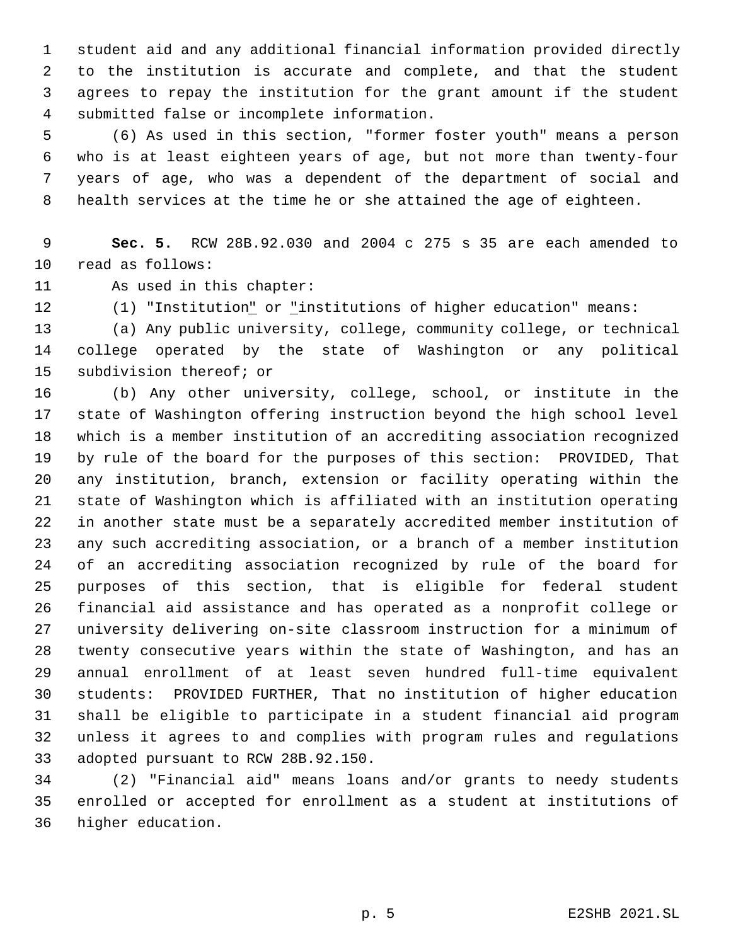student aid and any additional financial information provided directly to the institution is accurate and complete, and that the student agrees to repay the institution for the grant amount if the student submitted false or incomplete information.

 (6) As used in this section, "former foster youth" means a person who is at least eighteen years of age, but not more than twenty-four years of age, who was a dependent of the department of social and health services at the time he or she attained the age of eighteen.

 **Sec. 5.** RCW 28B.92.030 and 2004 c 275 s 35 are each amended to read as follows:

As used in this chapter:

12 (1) "Institution<u>"</u> or "institutions of higher education" means:

 (a) Any public university, college, community college, or technical college operated by the state of Washington or any political subdivision thereof; or

 (b) Any other university, college, school, or institute in the state of Washington offering instruction beyond the high school level which is a member institution of an accrediting association recognized by rule of the board for the purposes of this section: PROVIDED, That any institution, branch, extension or facility operating within the state of Washington which is affiliated with an institution operating in another state must be a separately accredited member institution of any such accrediting association, or a branch of a member institution of an accrediting association recognized by rule of the board for purposes of this section, that is eligible for federal student financial aid assistance and has operated as a nonprofit college or university delivering on-site classroom instruction for a minimum of twenty consecutive years within the state of Washington, and has an annual enrollment of at least seven hundred full-time equivalent students: PROVIDED FURTHER, That no institution of higher education shall be eligible to participate in a student financial aid program unless it agrees to and complies with program rules and regulations adopted pursuant to RCW 28B.92.150.

 (2) "Financial aid" means loans and/or grants to needy students enrolled or accepted for enrollment as a student at institutions of higher education.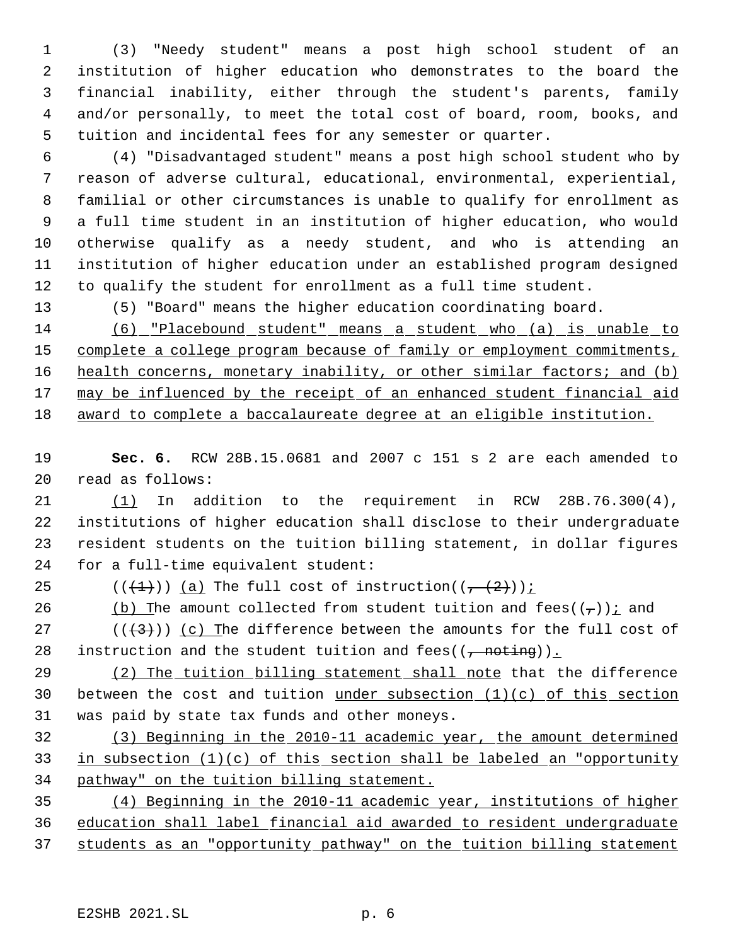(3) "Needy student" means a post high school student of an institution of higher education who demonstrates to the board the financial inability, either through the student's parents, family and/or personally, to meet the total cost of board, room, books, and tuition and incidental fees for any semester or quarter.

 (4) "Disadvantaged student" means a post high school student who by reason of adverse cultural, educational, environmental, experiential, familial or other circumstances is unable to qualify for enrollment as a full time student in an institution of higher education, who would otherwise qualify as a needy student, and who is attending an institution of higher education under an established program designed to qualify the student for enrollment as a full time student.

(5) "Board" means the higher education coordinating board.

 (6) "Placebound student" means a student who (a) is unable to complete a college program because of family or employment commitments, 16 health concerns, monetary inability, or other similar factors; and (b) 17 may be influenced by the receipt of an enhanced student financial aid award to complete a baccalaureate degree at an eligible institution.

 **Sec. 6.** RCW 28B.15.0681 and 2007 c 151 s 2 are each amended to read as follows:

 (1) In addition to the requirement in RCW 28B.76.300(4), institutions of higher education shall disclose to their undergraduate resident students on the tuition billing statement, in dollar figures for a full-time equivalent student:

25 ( $(\overline{+1})$ ) (a) The full cost of instruction( $(\overline{+2})$ );

26 (b) The amount collected from student tuition and fees( $(\tau)$ ) i and

27 ( $(\langle 3 \rangle)$ ) (c) The difference between the amounts for the full cost of 28 instruction and the student tuition and fees( $(\frac{1}{1} \text{ not} \text{ing})$ ).

29 (2) The tuition billing statement shall note that the difference 30 between the cost and tuition under subsection  $(1)(c)$  of this section was paid by state tax funds and other moneys.

 (3) Beginning in the 2010-11 academic year, the amount determined in subsection (1)(c) of this section shall be labeled an "opportunity pathway" on the tuition billing statement.

 (4) Beginning in the 2010-11 academic year, institutions of higher education shall label financial aid awarded to resident undergraduate students as an "opportunity pathway" on the tuition billing statement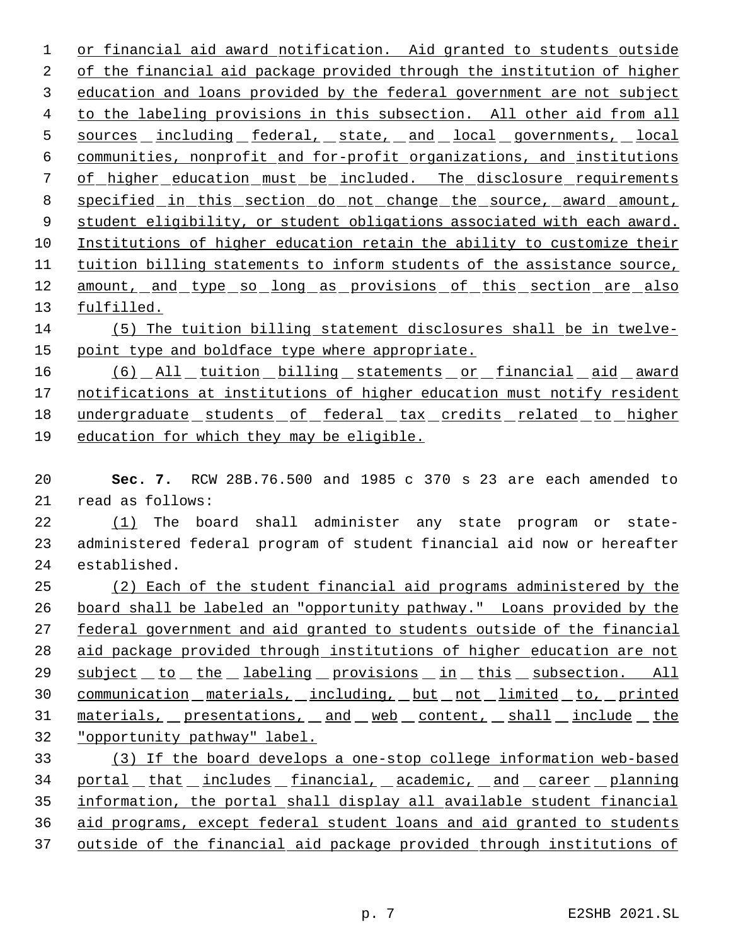or financial aid award notification. Aid granted to students outside of the financial aid package provided through the institution of higher education and loans provided by the federal government are not subject to the labeling provisions in this subsection. All other aid from all 5 sources including federal, state, and local governments, local communities, nonprofit and for-profit organizations, and institutions 7 of higher education must be included. The disclosure requirements specified in this section do not change the source, award amount, student eligibility, or student obligations associated with each award. Institutions of higher education retain the ability to customize their tuition billing statements to inform students of the assistance source, 12 amount, and type so long as provisions of this section are also fulfilled. (5) The tuition billing statement disclosures shall be in twelve-15 point type and boldface type where appropriate.

16 (6) All tuition billing statements or financial aid award 17 notifications at institutions of higher education must notify resident undergraduate students of federal tax credits related to higher education for which they may be eligible.

 **Sec. 7.** RCW 28B.76.500 and 1985 c 370 s 23 are each amended to read as follows:

22 (1) The board shall administer any state program or state- administered federal program of student financial aid now or hereafter established.

 (2) Each of the student financial aid programs administered by the board shall be labeled an "opportunity pathway." Loans provided by the 27 federal government and aid granted to students outside of the financial aid package provided through institutions of higher education are not 29 subject to the labeling provisions in this subsection. All 30 communication materials, including, but not limited to, printed 31 materials, presentations, and web content, shall include the "opportunity pathway" label.

 (3) If the board develops a one-stop college information web-based 34 portal that includes financial, academic, and career planning information, the portal shall display all available student financial aid programs, except federal student loans and aid granted to students outside of the financial aid package provided through institutions of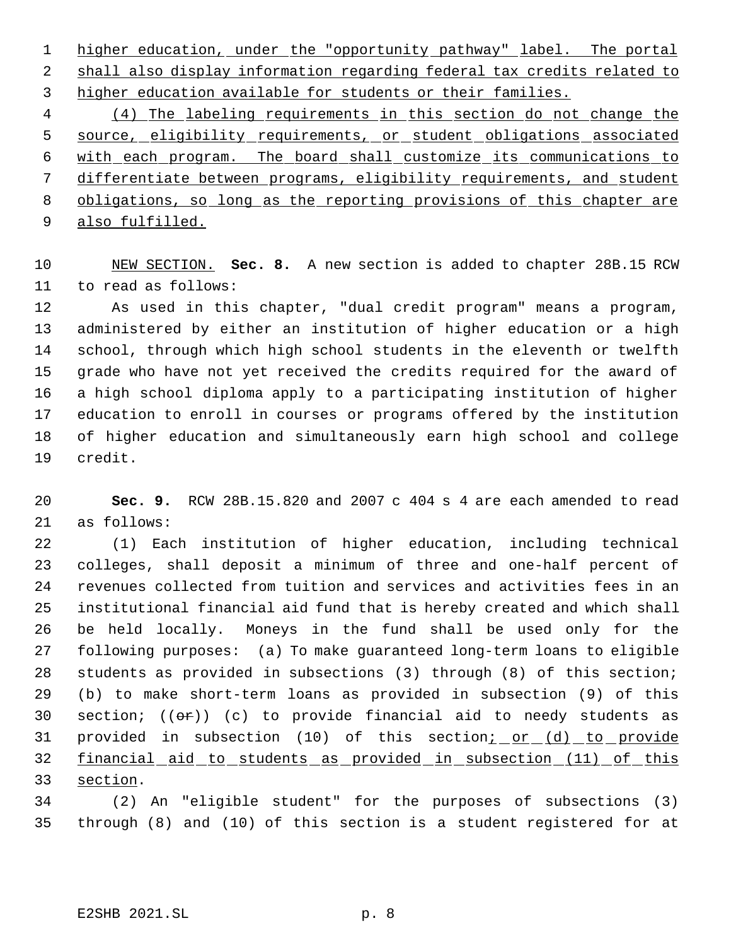1 higher education, under the "opportunity pathway" label. The portal shall also display information regarding federal tax credits related to higher education available for students or their families.

 (4) The labeling requirements in this section do not change the source, eligibility requirements, or student obligations associated with each program. The board shall customize its communications to differentiate between programs, eligibility requirements, and student obligations, so long as the reporting provisions of this chapter are 9 also fulfilled.

 NEW SECTION. **Sec. 8.** A new section is added to chapter 28B.15 RCW to read as follows:

 As used in this chapter, "dual credit program" means a program, administered by either an institution of higher education or a high school, through which high school students in the eleventh or twelfth grade who have not yet received the credits required for the award of a high school diploma apply to a participating institution of higher education to enroll in courses or programs offered by the institution of higher education and simultaneously earn high school and college credit.

 **Sec. 9.** RCW 28B.15.820 and 2007 c 404 s 4 are each amended to read as follows:

 (1) Each institution of higher education, including technical colleges, shall deposit a minimum of three and one-half percent of revenues collected from tuition and services and activities fees in an institutional financial aid fund that is hereby created and which shall be held locally. Moneys in the fund shall be used only for the following purposes: (a) To make guaranteed long-term loans to eligible students as provided in subsections (3) through (8) of this section; (b) to make short-term loans as provided in subsection (9) of this 30 section;  $((e^*)$  (c) to provide financial aid to needy students as 31 provided in subsection (10) of this section; or (d) to provide financial aid to students as provided in subsection (11) of this section.

 (2) An "eligible student" for the purposes of subsections (3) through (8) and (10) of this section is a student registered for at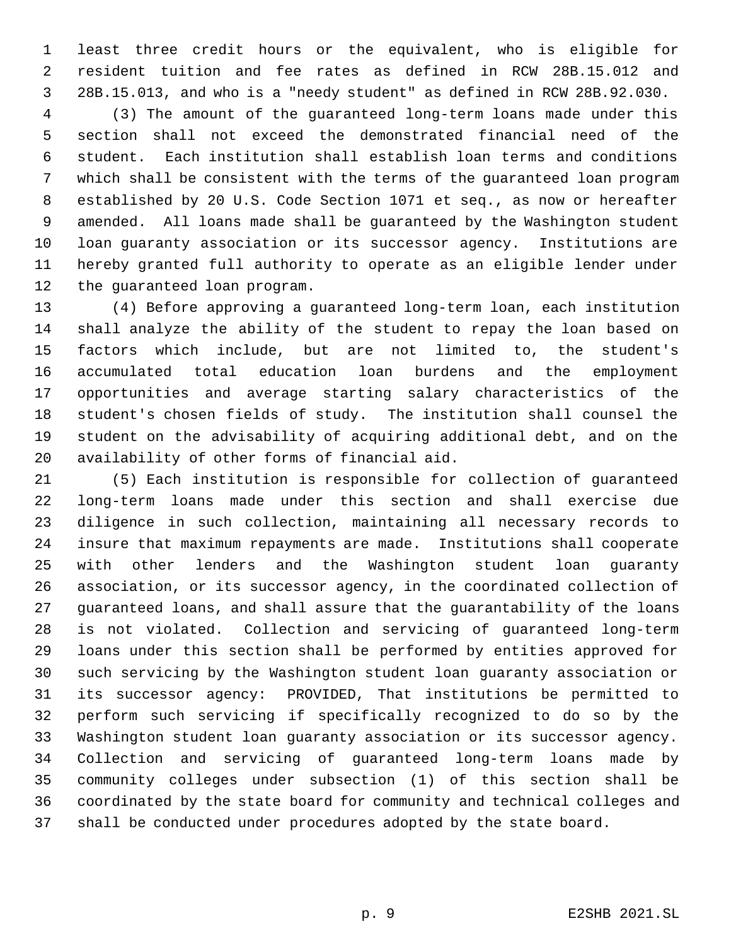least three credit hours or the equivalent, who is eligible for resident tuition and fee rates as defined in RCW 28B.15.012 and 28B.15.013, and who is a "needy student" as defined in RCW 28B.92.030.

 (3) The amount of the guaranteed long-term loans made under this section shall not exceed the demonstrated financial need of the student. Each institution shall establish loan terms and conditions which shall be consistent with the terms of the guaranteed loan program established by 20 U.S. Code Section 1071 et seq., as now or hereafter amended. All loans made shall be guaranteed by the Washington student loan guaranty association or its successor agency. Institutions are hereby granted full authority to operate as an eligible lender under the guaranteed loan program.

 (4) Before approving a guaranteed long-term loan, each institution shall analyze the ability of the student to repay the loan based on factors which include, but are not limited to, the student's accumulated total education loan burdens and the employment opportunities and average starting salary characteristics of the student's chosen fields of study. The institution shall counsel the student on the advisability of acquiring additional debt, and on the availability of other forms of financial aid.

 (5) Each institution is responsible for collection of guaranteed long-term loans made under this section and shall exercise due diligence in such collection, maintaining all necessary records to insure that maximum repayments are made. Institutions shall cooperate with other lenders and the Washington student loan guaranty association, or its successor agency, in the coordinated collection of guaranteed loans, and shall assure that the guarantability of the loans is not violated. Collection and servicing of guaranteed long-term loans under this section shall be performed by entities approved for such servicing by the Washington student loan guaranty association or its successor agency: PROVIDED, That institutions be permitted to perform such servicing if specifically recognized to do so by the Washington student loan guaranty association or its successor agency. Collection and servicing of guaranteed long-term loans made by community colleges under subsection (1) of this section shall be coordinated by the state board for community and technical colleges and shall be conducted under procedures adopted by the state board.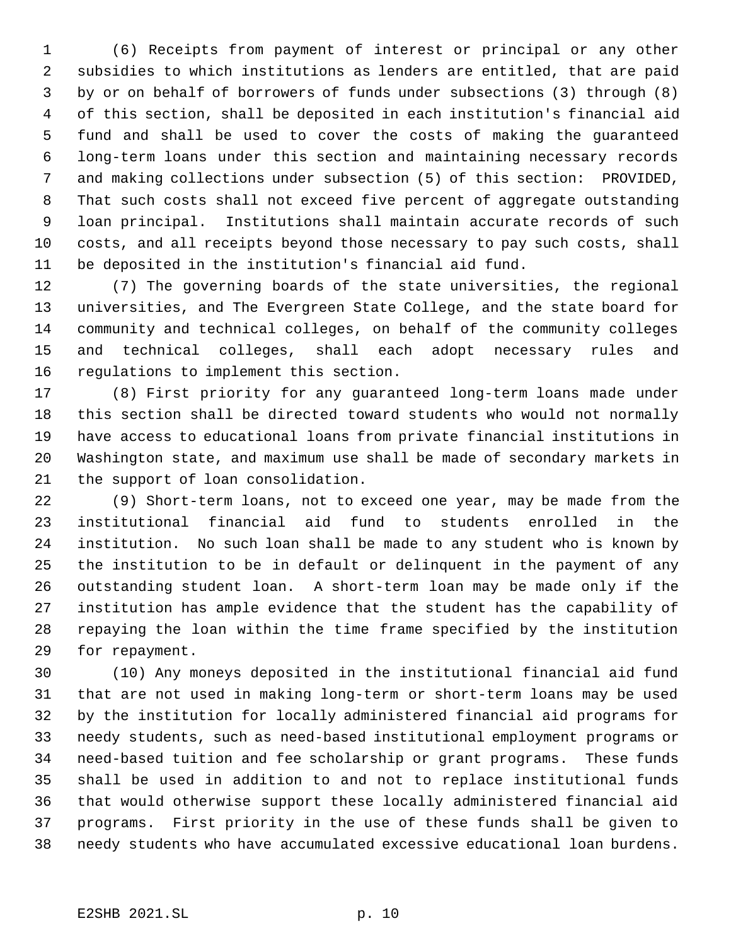(6) Receipts from payment of interest or principal or any other subsidies to which institutions as lenders are entitled, that are paid by or on behalf of borrowers of funds under subsections (3) through (8) of this section, shall be deposited in each institution's financial aid fund and shall be used to cover the costs of making the guaranteed long-term loans under this section and maintaining necessary records and making collections under subsection (5) of this section: PROVIDED, That such costs shall not exceed five percent of aggregate outstanding loan principal. Institutions shall maintain accurate records of such costs, and all receipts beyond those necessary to pay such costs, shall be deposited in the institution's financial aid fund.

 (7) The governing boards of the state universities, the regional universities, and The Evergreen State College, and the state board for community and technical colleges, on behalf of the community colleges and technical colleges, shall each adopt necessary rules and regulations to implement this section.

 (8) First priority for any guaranteed long-term loans made under this section shall be directed toward students who would not normally have access to educational loans from private financial institutions in Washington state, and maximum use shall be made of secondary markets in the support of loan consolidation.

 (9) Short-term loans, not to exceed one year, may be made from the institutional financial aid fund to students enrolled in the institution. No such loan shall be made to any student who is known by the institution to be in default or delinquent in the payment of any outstanding student loan. A short-term loan may be made only if the institution has ample evidence that the student has the capability of repaying the loan within the time frame specified by the institution for repayment.

 (10) Any moneys deposited in the institutional financial aid fund that are not used in making long-term or short-term loans may be used by the institution for locally administered financial aid programs for needy students, such as need-based institutional employment programs or need-based tuition and fee scholarship or grant programs. These funds shall be used in addition to and not to replace institutional funds that would otherwise support these locally administered financial aid programs. First priority in the use of these funds shall be given to needy students who have accumulated excessive educational loan burdens.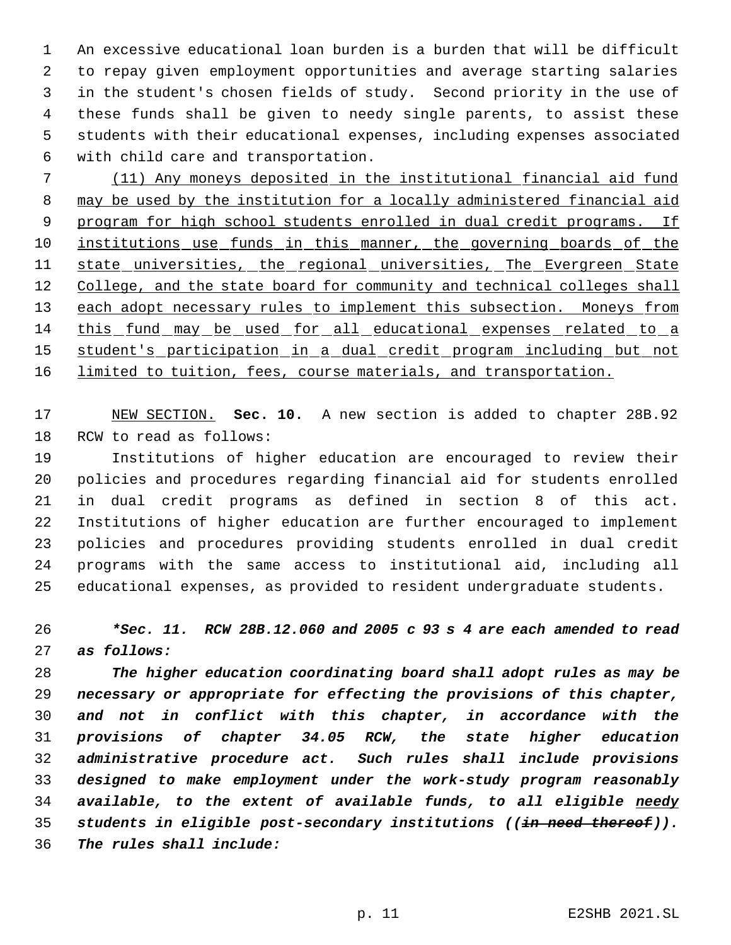An excessive educational loan burden is a burden that will be difficult to repay given employment opportunities and average starting salaries in the student's chosen fields of study. Second priority in the use of these funds shall be given to needy single parents, to assist these students with their educational expenses, including expenses associated with child care and transportation.

 (11) Any moneys deposited in the institutional financial aid fund may be used by the institution for a locally administered financial aid 9 program for high school students enrolled in dual credit programs. If 10 institutions use funds in this manner, the governing boards of the 11 state universities, the regional universities, The Evergreen State 12 College, and the state board for community and technical colleges shall 13 each adopt necessary rules to implement this subsection. Moneys from this fund may be used for all educational expenses related to a student's participation in a dual credit program including but not 16 limited to tuition, fees, course materials, and transportation.

 NEW SECTION. **Sec. 10.** A new section is added to chapter 28B.92 RCW to read as follows:

 Institutions of higher education are encouraged to review their policies and procedures regarding financial aid for students enrolled in dual credit programs as defined in section 8 of this act. Institutions of higher education are further encouraged to implement policies and procedures providing students enrolled in dual credit programs with the same access to institutional aid, including all educational expenses, as provided to resident undergraduate students.

 *\*Sec. 11. RCW 28B.12.060 and 2005 c 93 s 4 are each amended to read as follows:*

 *The higher education coordinating board shall adopt rules as may be necessary or appropriate for effecting the provisions of this chapter, and not in conflict with this chapter, in accordance with the provisions of chapter 34.05 RCW, the state higher education administrative procedure act. Such rules shall include provisions designed to make employment under the work-study program reasonably available, to the extent of available funds, to all eligible needy students in eligible post-secondary institutions ((in need thereof)). The rules shall include:*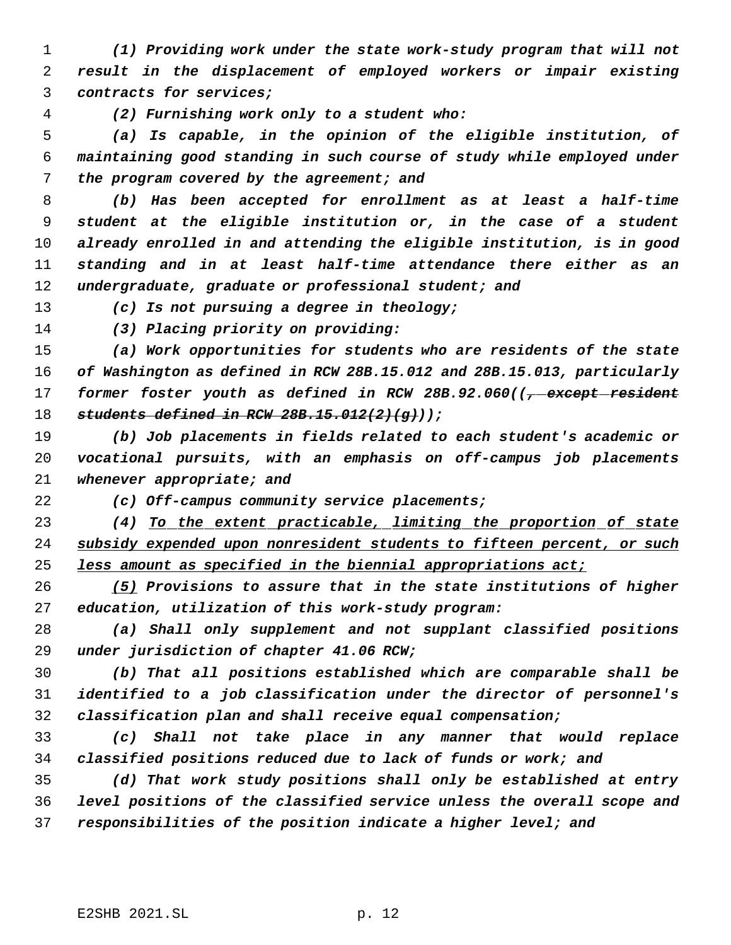*(1) Providing work under the state work-study program that will not result in the displacement of employed workers or impair existing contracts for services;*

*(2) Furnishing work only to a student who:*

 *(a) Is capable, in the opinion of the eligible institution, of maintaining good standing in such course of study while employed under the program covered by the agreement; and*

 *(b) Has been accepted for enrollment as at least a half-time student at the eligible institution or, in the case of a student already enrolled in and attending the eligible institution, is in good standing and in at least half-time attendance there either as an undergraduate, graduate or professional student; and*

*(c) Is not pursuing a degree in theology;*

*(3) Placing priority on providing:*

 *(a) Work opportunities for students who are residents of the state of Washington as defined in RCW 28B.15.012 and 28B.15.013, particularly former foster youth as defined in RCW 28B.92.060((, except resident students defined in RCW 28B.15.012(2)(g)));*

 *(b) Job placements in fields related to each student's academic or vocational pursuits, with an emphasis on off-campus job placements whenever appropriate; and*

*(c) Off-campus community service placements;*

 *(4) To the extent practicable, limiting the proportion of state subsidy expended upon nonresident students to fifteen percent, or such less amount as specified in the biennial appropriations act;*

 *(5) Provisions to assure that in the state institutions of higher education, utilization of this work-study program:*

 *(a) Shall only supplement and not supplant classified positions under jurisdiction of chapter 41.06 RCW;*

 *(b) That all positions established which are comparable shall be identified to a job classification under the director of personnel's classification plan and shall receive equal compensation;*

 *(c) Shall not take place in any manner that would replace classified positions reduced due to lack of funds or work; and*

 *(d) That work study positions shall only be established at entry level positions of the classified service unless the overall scope and responsibilities of the position indicate a higher level; and*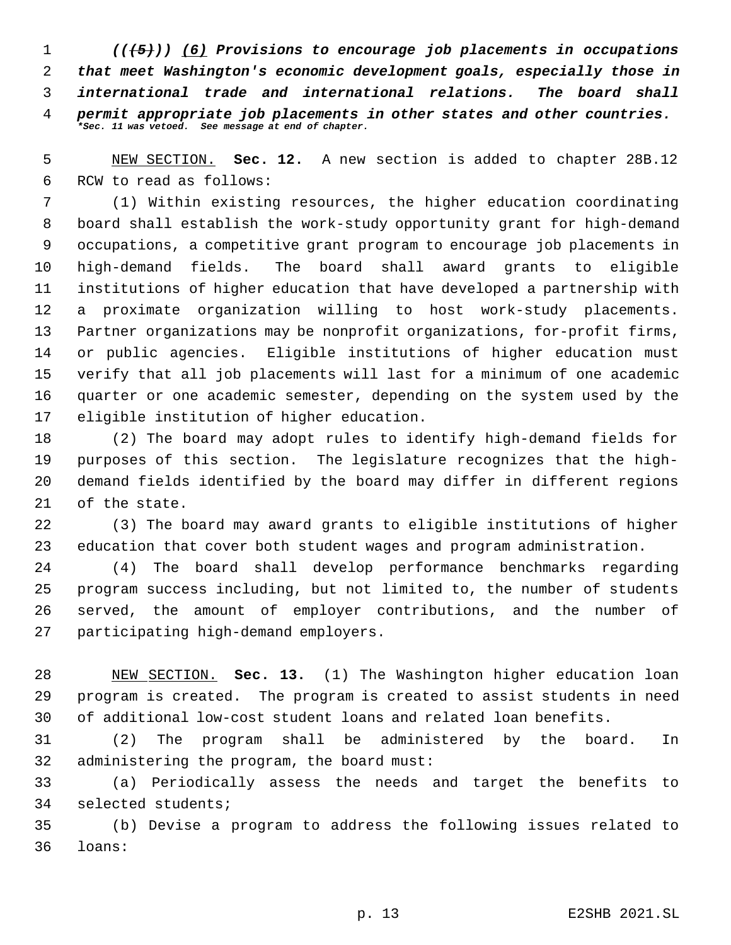*(((5))) (6) Provisions to encourage job placements in occupations that meet Washington's economic development goals, especially those in international trade and international relations. The board shall permit appropriate job placements in other states and other countries. \*Sec. 11 was vetoed. See message at end of chapter.*

 NEW SECTION. **Sec. 12.** A new section is added to chapter 28B.12 RCW to read as follows:

 (1) Within existing resources, the higher education coordinating board shall establish the work-study opportunity grant for high-demand occupations, a competitive grant program to encourage job placements in high-demand fields. The board shall award grants to eligible institutions of higher education that have developed a partnership with a proximate organization willing to host work-study placements. Partner organizations may be nonprofit organizations, for-profit firms, or public agencies. Eligible institutions of higher education must verify that all job placements will last for a minimum of one academic quarter or one academic semester, depending on the system used by the eligible institution of higher education.

 (2) The board may adopt rules to identify high-demand fields for purposes of this section. The legislature recognizes that the high- demand fields identified by the board may differ in different regions of the state.

 (3) The board may award grants to eligible institutions of higher education that cover both student wages and program administration.

 (4) The board shall develop performance benchmarks regarding program success including, but not limited to, the number of students served, the amount of employer contributions, and the number of participating high-demand employers.

 NEW SECTION. **Sec. 13.** (1) The Washington higher education loan program is created. The program is created to assist students in need of additional low-cost student loans and related loan benefits.

 (2) The program shall be administered by the board. In administering the program, the board must:

 (a) Periodically assess the needs and target the benefits to selected students;

 (b) Devise a program to address the following issues related to loans: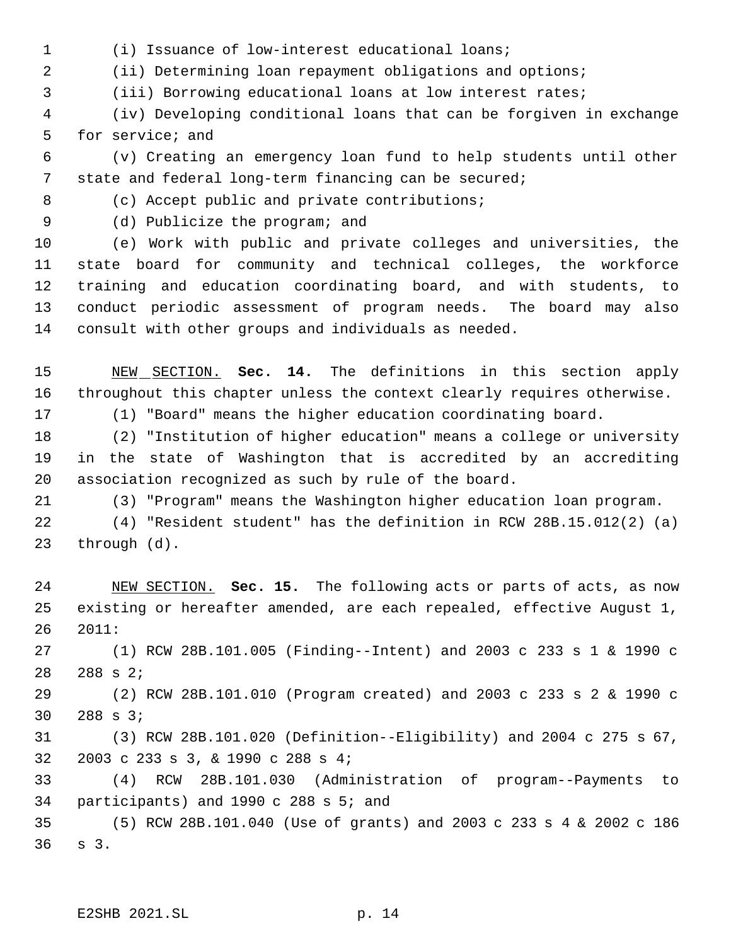(i) Issuance of low-interest educational loans;

(ii) Determining loan repayment obligations and options;

(iii) Borrowing educational loans at low interest rates;

 (iv) Developing conditional loans that can be forgiven in exchange for service; and

 (v) Creating an emergency loan fund to help students until other state and federal long-term financing can be secured;

(c) Accept public and private contributions;

(d) Publicize the program; and

 (e) Work with public and private colleges and universities, the state board for community and technical colleges, the workforce training and education coordinating board, and with students, to conduct periodic assessment of program needs. The board may also consult with other groups and individuals as needed.

 NEW SECTION. **Sec. 14.** The definitions in this section apply throughout this chapter unless the context clearly requires otherwise.

(1) "Board" means the higher education coordinating board.

 (2) "Institution of higher education" means a college or university in the state of Washington that is accredited by an accrediting association recognized as such by rule of the board.

(3) "Program" means the Washington higher education loan program.

 (4) "Resident student" has the definition in RCW 28B.15.012(2) (a) through (d).

 NEW SECTION. **Sec. 15.** The following acts or parts of acts, as now existing or hereafter amended, are each repealed, effective August 1, 2011:

 (1) RCW 28B.101.005 (Finding--Intent) and 2003 c 233 s 1 & 1990 c 288 s 2;

 (2) RCW 28B.101.010 (Program created) and 2003 c 233 s 2 & 1990 c 288 s 3;

 (3) RCW 28B.101.020 (Definition--Eligibility) and 2004 c 275 s 67, 2003 c 233 s 3, & 1990 c 288 s 4;

 (4) RCW 28B.101.030 (Administration of program--Payments to participants) and 1990 c 288 s 5; and

 (5) RCW 28B.101.040 (Use of grants) and 2003 c 233 s 4 & 2002 c 186 s 3.